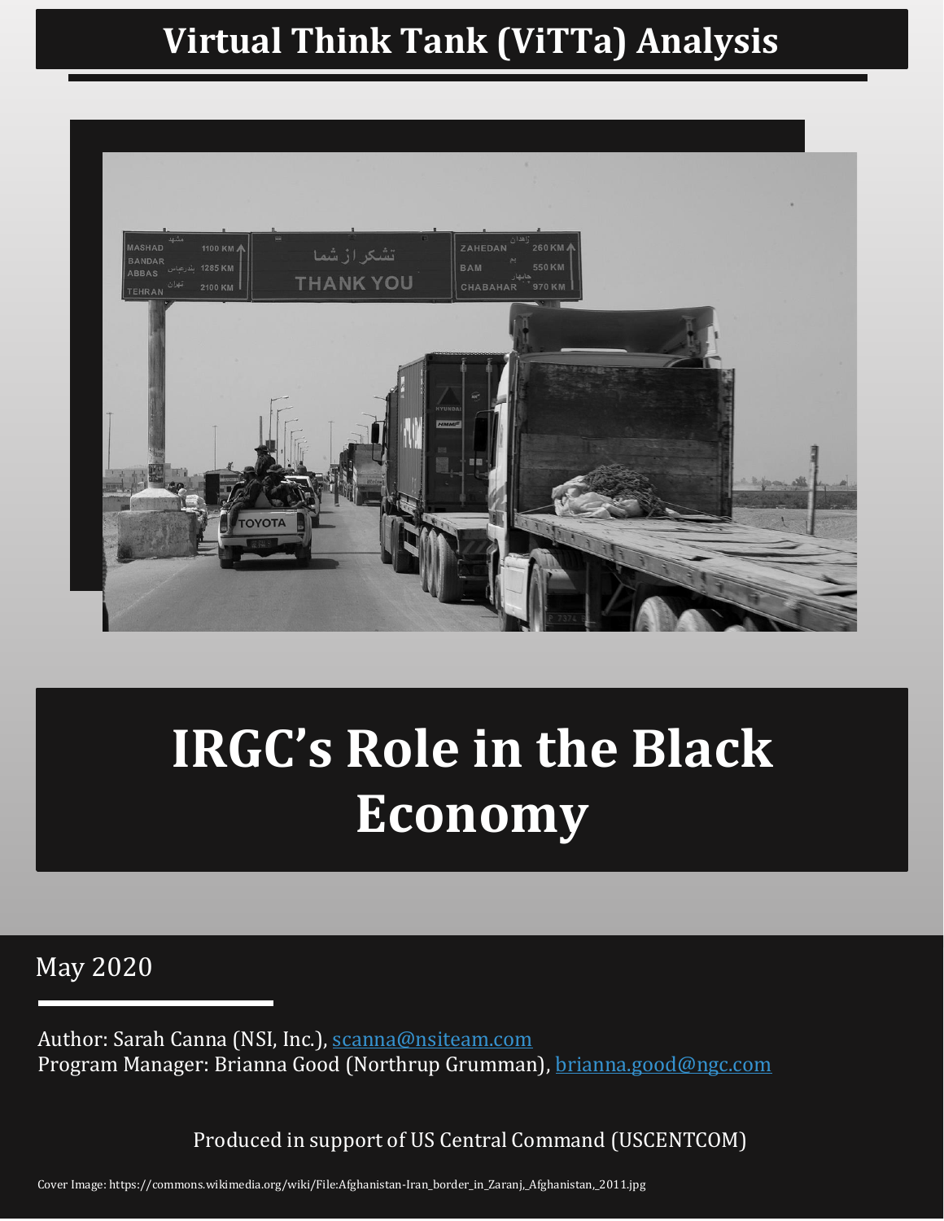# **Virtual Think Tank (ViTTa) Analysis**



# **IRGC's Role in the Black Economy**

May 2020

Author: Sarah Canna (NSI, Inc.), [scanna@nsiteam.com](mailto:scanna@nsiteam.com) Program Manager: Brianna Good (Northrup Grumman), [brianna.good@ngc.com](mailto:brianna.good@ngc.com)

Produced in support of US Central Command (USCENTCOM)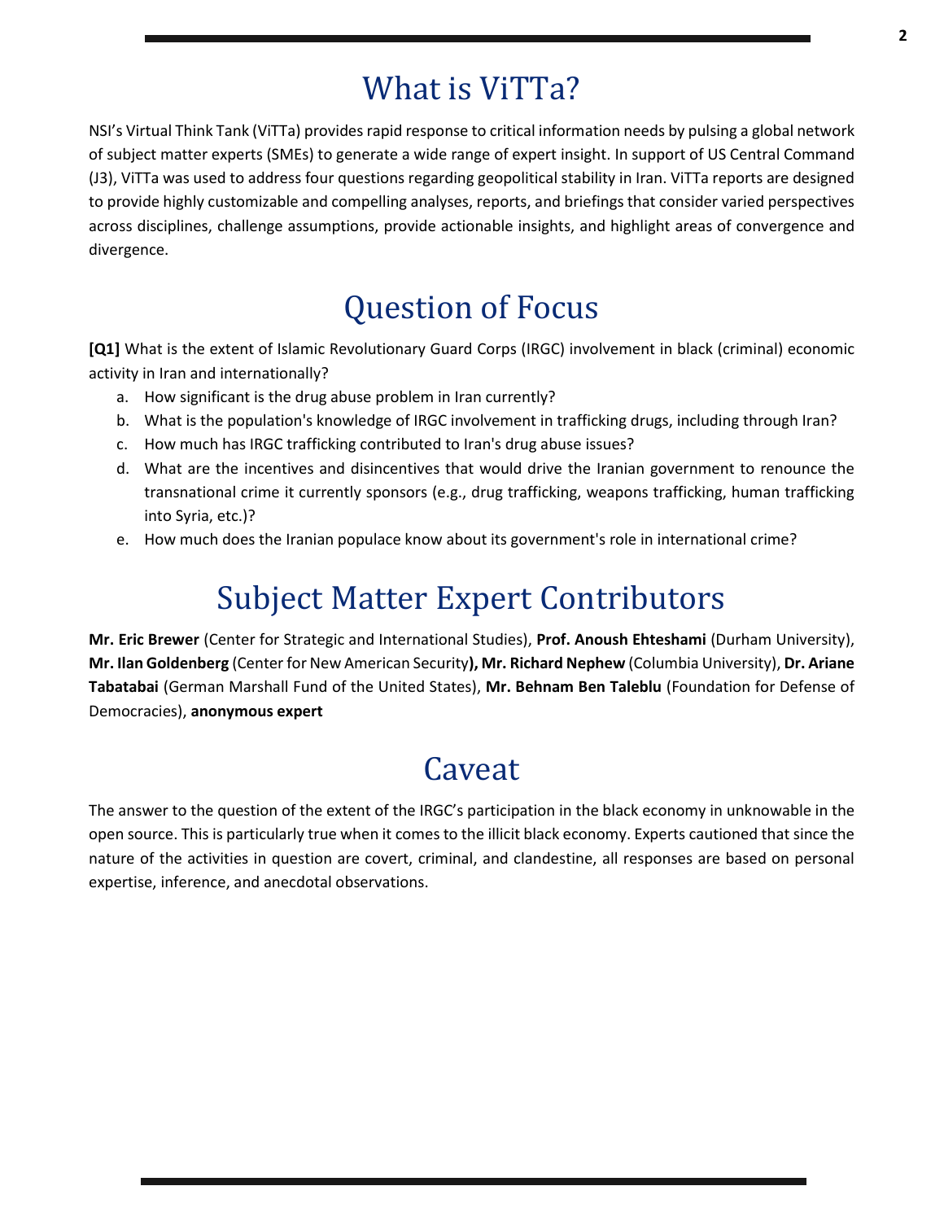## What is ViTTa?

NSI's Virtual Think Tank (ViTTa) provides rapid response to critical information needs by pulsing a global network of subject matter experts (SMEs) to generate a wide range of expert insight. In support of US Central Command (J3), ViTTa was used to address four questions regarding geopolitical stability in Iran. ViTTa reports are designed to provide highly customizable and compelling analyses, reports, and briefings that consider varied perspectives across disciplines, challenge assumptions, provide actionable insights, and highlight areas of convergence and divergence.

## Question of Focus

**[Q1]** What is the extent of Islamic Revolutionary Guard Corps (IRGC) involvement in black (criminal) economic activity in Iran and internationally?

- a. How significant is the drug abuse problem in Iran currently?
- b. What is the population's knowledge of IRGC involvement in trafficking drugs, including through Iran?
- c. How much has IRGC trafficking contributed to Iran's drug abuse issues?
- d. What are the incentives and disincentives that would drive the Iranian government to renounce the transnational crime it currently sponsors (e.g., drug trafficking, weapons trafficking, human trafficking into Syria, etc.)?
- e. How much does the Iranian populace know about its government's role in international crime?

## Subject Matter Expert Contributors

**Mr. Eric Brewer** (Center for Strategic and International Studies), **Prof. Anoush Ehteshami** (Durham University), **Mr. Ilan Goldenberg** (Center for New American Security**), Mr. Richard Nephew** (Columbia University), **Dr. Ariane Tabatabai** (German Marshall Fund of the United States), **Mr. Behnam Ben Taleblu** (Foundation for Defense of Democracies), **anonymous expert**

### **Caveat**

The answer to the question of the extent of the IRGC's participation in the black economy in unknowable in the open source. This is particularly true when it comes to the illicit black economy. Experts cautioned that since the nature of the activities in question are covert, criminal, and clandestine, all responses are based on personal expertise, inference, and anecdotal observations.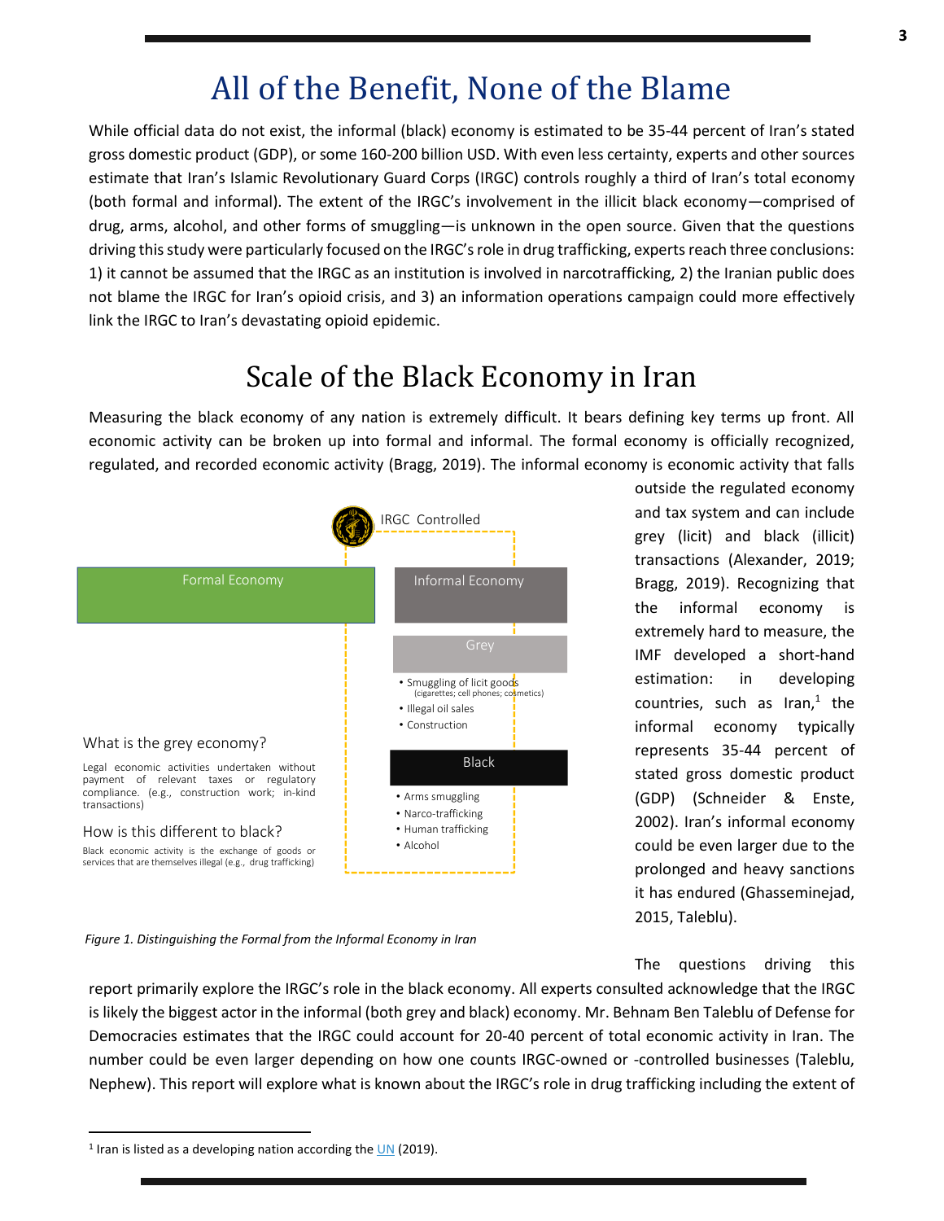### All of the Benefit, None of the Blame

While official data do not exist, the informal (black) economy is estimated to be 35-44 percent of Iran's stated gross domestic product (GDP), or some 160-200 billion USD. With even less certainty, experts and other sources estimate that Iran's Islamic Revolutionary Guard Corps (IRGC) controls roughly a third of Iran's total economy (both formal and informal). The extent of the IRGC's involvement in the illicit black economy—comprised of drug, arms, alcohol, and other forms of smuggling—is unknown in the open source. Given that the questions driving this study were particularly focused on the IRGC's role in drug trafficking, experts reach three conclusions: 1) it cannot be assumed that the IRGC as an institution is involved in narcotrafficking, 2) the Iranian public does not blame the IRGC for Iran's opioid crisis, and 3) an information operations campaign could more effectively link the IRGC to Iran's devastating opioid epidemic.

### Scale of the Black Economy in Iran

Measuring the black economy of any nation is extremely difficult. It bears defining key terms up front. All economic activity can be broken up into formal and informal. The formal economy is officially recognized, regulated, and recorded economic activity (Bragg, 2019). The informal economy is economic activity that falls



outside the regulated economy and tax system and can include grey (licit) and black (illicit) transactions (Alexander, 2019; Bragg, 2019). Recognizing that the informal economy is extremely hard to measure, the IMF developed a short-hand estimation: in developing countries, such as Iran, $<sup>1</sup>$  the</sup> informal economy typically represents 35-44 percent of stated gross domestic product (GDP) (Schneider & Enste, 2002). Iran's informal economy could be even larger due to the prolonged and heavy sanctions it has endured (Ghasseminejad, 2015, Taleblu).

*Figure 1. Distinguishing the Formal from the Informal Economy in Iran*

The questions driving this

report primarily explore the IRGC's role in the black economy. All experts consulted acknowledge that the IRGC is likely the biggest actor in the informal (both grey and black) economy. Mr. Behnam Ben Taleblu of Defense for Democracies estimates that the IRGC could account for 20-40 percent of total economic activity in Iran. The number could be even larger depending on how one counts IRGC-owned or -controlled businesses (Taleblu, Nephew). This report will explore what is known about the IRGC's role in drug trafficking including the extent of

<sup>&</sup>lt;sup>1</sup> Iran is listed as a developing nation according the **UN** (2019).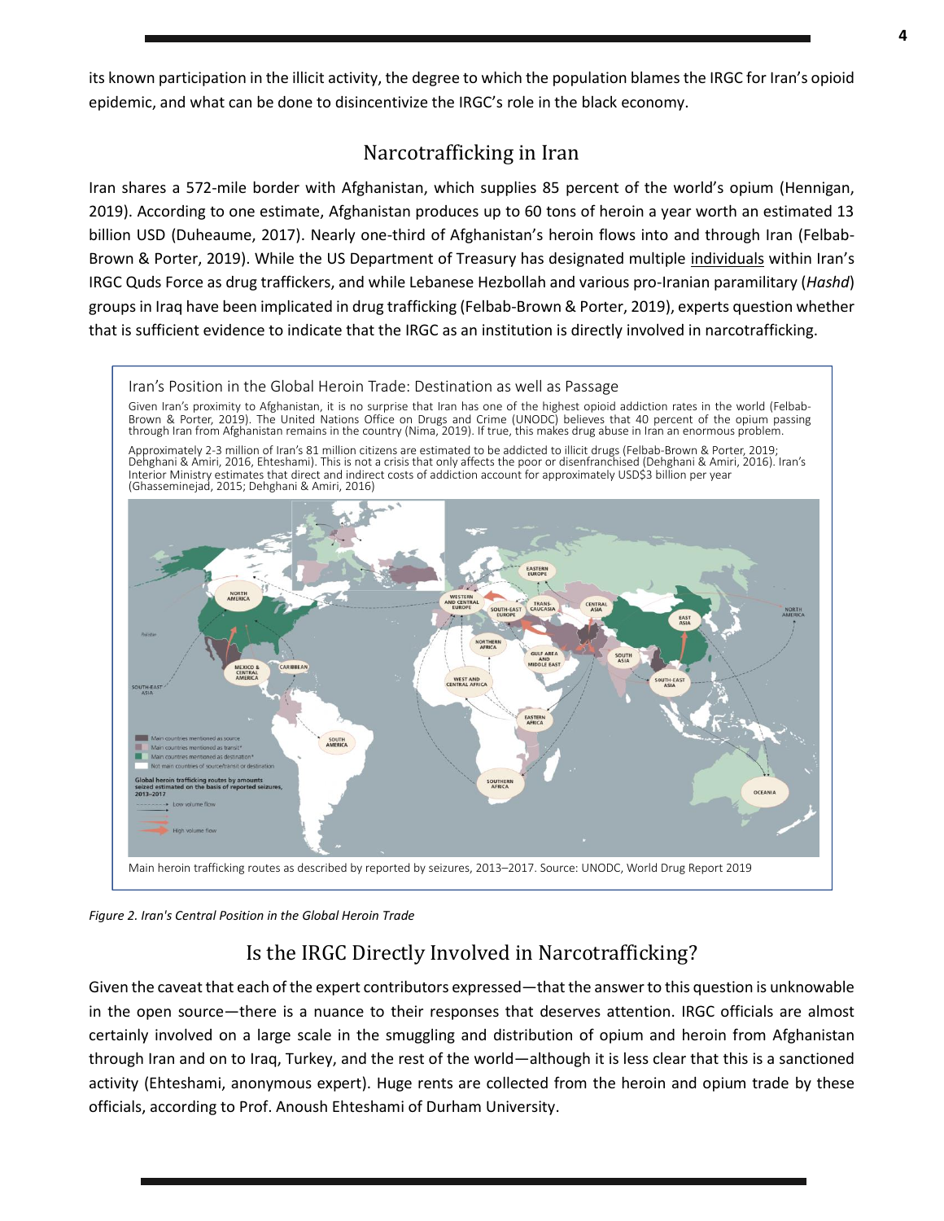its known participation in the illicit activity, the degree to which the population blames the IRGC for Iran's opioid epidemic, and what can be done to disincentivize the IRGC's role in the black economy.

#### Narcotrafficking in Iran

Iran shares a 572-mile border with Afghanistan, which supplies 85 percent of the world's opium (Hennigan, 2019). According to one estimate, Afghanistan produces up to 60 tons of heroin a year worth an estimated 13 billion USD (Duheaume, 2017). Nearly one-third of Afghanistan's heroin flows into and through Iran (Felbab-Brown & Porter, 2019). While the US Department of Treasury has designated multiple individuals within Iran's IRGC Quds Force as drug traffickers, and while Lebanese Hezbollah and various pro-Iranian paramilitary (*Hashd*) groups in Iraq have been implicated in drug trafficking (Felbab-Brown & Porter, 2019), experts question whether that is sufficient evidence to indicate that the IRGC as an institution is directly involved in narcotrafficking.



*Figure 2. Iran's Central Position in the Global Heroin Trade*

#### Is the IRGC Directly Involved in Narcotrafficking?

Given the caveat that each of the expert contributors expressed—that the answer to this question is unknowable in the open source—there is a nuance to their responses that deserves attention. IRGC officials are almost certainly involved on a large scale in the smuggling and distribution of opium and heroin from Afghanistan through Iran and on to Iraq, Turkey, and the rest of the world—although it is less clear that this is a sanctioned activity (Ehteshami, anonymous expert). Huge rents are collected from the heroin and opium trade by these officials, according to Prof. Anoush Ehteshami of Durham University.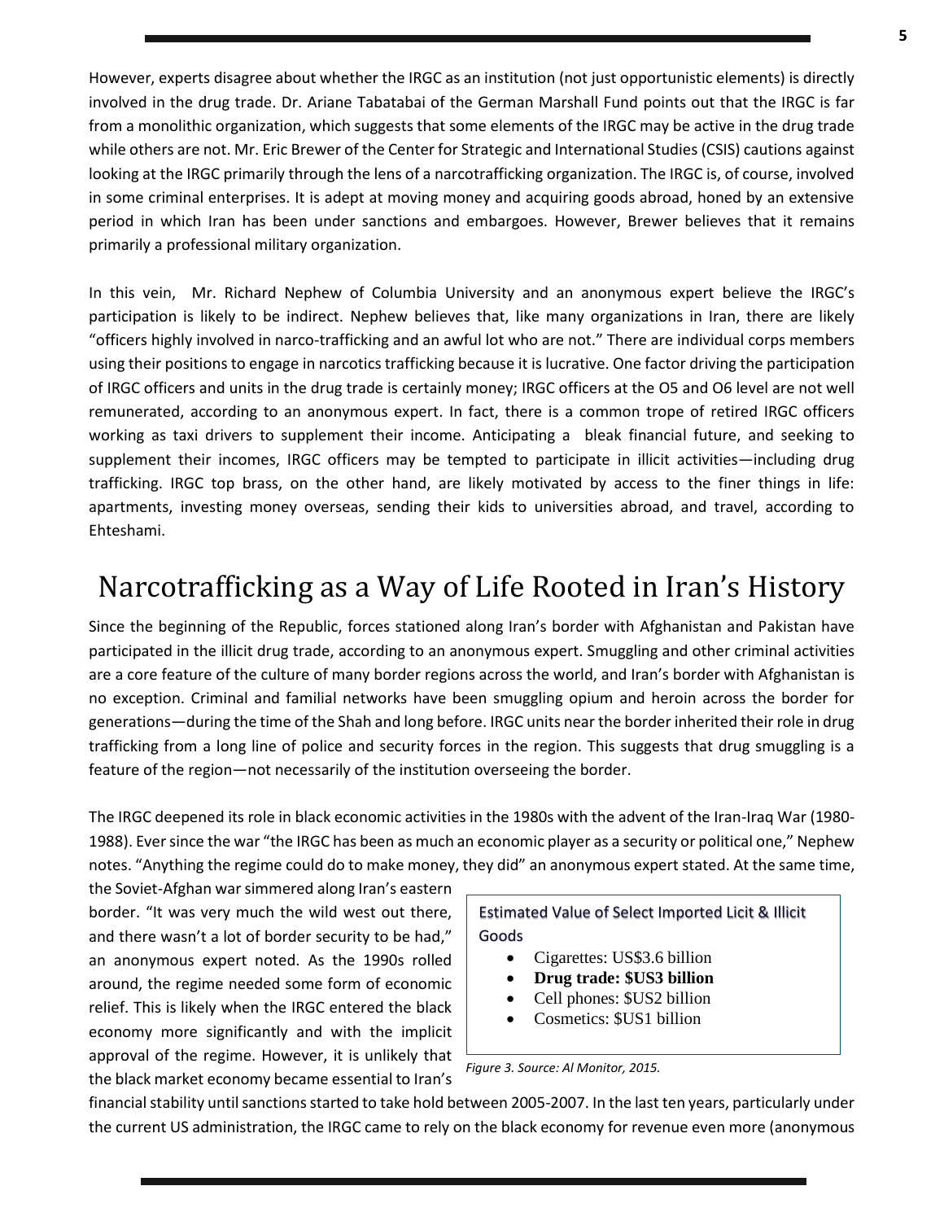However, experts disagree about whether the IRGC as an institution (not just opportunistic elements) is directly involved in the drug trade. Dr. Ariane Tabatabai of the German Marshall Fund points out that the IRGC is far from a monolithic organization, which suggests that some elements of the IRGC may be active in the drug trade while others are not. Mr. Eric Brewer of the Center for Strategic and International Studies (CSIS) cautions against looking at the IRGC primarily through the lens of a narcotrafficking organization. The IRGC is, of course, involved in some criminal enterprises. It is adept at moving money and acquiring goods abroad, honed by an extensive period in which Iran has been under sanctions and embargoes. However, Brewer believes that it remains primarily a professional military organization.

In this vein, Mr. Richard Nephew of Columbia University and an anonymous expert believe the IRGC's participation is likely to be indirect. Nephew believes that, like many organizations in Iran, there are likely "officers highly involved in narco-trafficking and an awful lot who are not." There are individual corps members using their positions to engage in narcotics trafficking because it is lucrative. One factor driving the participation of IRGC officers and units in the drug trade is certainly money; IRGC officers at the O5 and O6 level are not well remunerated, according to an anonymous expert. In fact, there is a common trope of retired IRGC officers working as taxi drivers to supplement their income. Anticipating a bleak financial future, and seeking to supplement their incomes, IRGC officers may be tempted to participate in illicit activities—including drug trafficking. IRGC top brass, on the other hand, are likely motivated by access to the finer things in life: apartments, investing money overseas, sending their kids to universities abroad, and travel, according to Ehteshami.

### Narcotrafficking as a Way of Life Rooted in Iran's History

Since the beginning of the Republic, forces stationed along Iran's border with Afghanistan and Pakistan have participated in the illicit drug trade, according to an anonymous expert. Smuggling and other criminal activities are a core feature of the culture of many border regions across the world, and Iran's border with Afghanistan is no exception. Criminal and familial networks have been smuggling opium and heroin across the border for generations—during the time of the Shah and long before. IRGC units near the border inherited their role in drug trafficking from a long line of police and security forces in the region. This suggests that drug smuggling is a feature of the region—not necessarily of the institution overseeing the border.

The IRGC deepened its role in black economic activities in the 1980s with the advent of the Iran-Iraq War (1980- 1988). Ever since the war "the IRGC has been as much an economic player as a security or political one," Nephew notes. "Anything the regime could do to make money, they did" an anonymous expert stated. At the same time,

the Soviet-Afghan war simmered along Iran's eastern border. "It was very much the wild west out there, and there wasn't a lot of border security to be had," an anonymous expert noted. As the 1990s rolled around, the regime needed some form of economic relief. This is likely when the IRGC entered the black economy more significantly and with the implicit approval of the regime. However, it is unlikely that the black market economy became essential to Iran's

Estimated Value of Select Imported Licit & Illicit Goods

- Cigarettes: US\$3.6 billion
- **Drug trade: \$US3 billion**
- Cell phones: \$US2 billion
- Cosmetics: \$US1 billion

*Figure 3. Source: Al Monitor, 2015.*

financial stability until sanctions started to take hold between 2005-2007. In the last ten years, particularly under the current US administration, the IRGC came to rely on the black economy for revenue even more (anonymous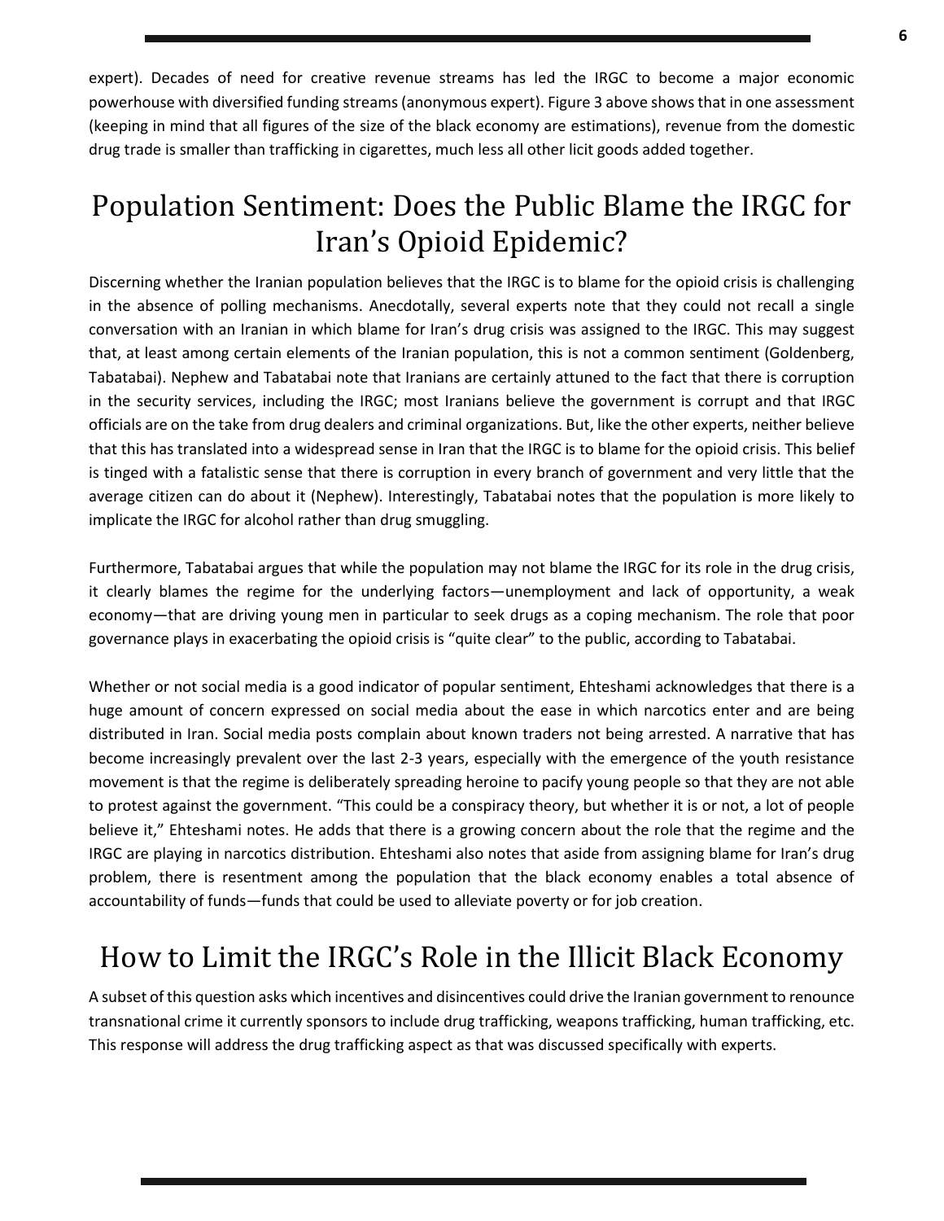expert). Decades of need for creative revenue streams has led the IRGC to become a major economic powerhouse with diversified funding streams (anonymous expert). Figure 3 above shows that in one assessment (keeping in mind that all figures of the size of the black economy are estimations), revenue from the domestic drug trade is smaller than trafficking in cigarettes, much less all other licit goods added together.

### Population Sentiment: Does the Public Blame the IRGC for Iran's Opioid Epidemic?

Discerning whether the Iranian population believes that the IRGC is to blame for the opioid crisis is challenging in the absence of polling mechanisms. Anecdotally, several experts note that they could not recall a single conversation with an Iranian in which blame for Iran's drug crisis was assigned to the IRGC. This may suggest that, at least among certain elements of the Iranian population, this is not a common sentiment (Goldenberg, Tabatabai). Nephew and Tabatabai note that Iranians are certainly attuned to the fact that there is corruption in the security services, including the IRGC; most Iranians believe the government is corrupt and that IRGC officials are on the take from drug dealers and criminal organizations. But, like the other experts, neither believe that this has translated into a widespread sense in Iran that the IRGC is to blame for the opioid crisis. This belief is tinged with a fatalistic sense that there is corruption in every branch of government and very little that the average citizen can do about it (Nephew). Interestingly, Tabatabai notes that the population is more likely to implicate the IRGC for alcohol rather than drug smuggling.

Furthermore, Tabatabai argues that while the population may not blame the IRGC for its role in the drug crisis, it clearly blames the regime for the underlying factors—unemployment and lack of opportunity, a weak economy—that are driving young men in particular to seek drugs as a coping mechanism. The role that poor governance plays in exacerbating the opioid crisis is "quite clear" to the public, according to Tabatabai.

Whether or not social media is a good indicator of popular sentiment, Ehteshami acknowledges that there is a huge amount of concern expressed on social media about the ease in which narcotics enter and are being distributed in Iran. Social media posts complain about known traders not being arrested. A narrative that has become increasingly prevalent over the last 2-3 years, especially with the emergence of the youth resistance movement is that the regime is deliberately spreading heroine to pacify young people so that they are not able to protest against the government. "This could be a conspiracy theory, but whether it is or not, a lot of people believe it," Ehteshami notes. He adds that there is a growing concern about the role that the regime and the IRGC are playing in narcotics distribution. Ehteshami also notes that aside from assigning blame for Iran's drug problem, there is resentment among the population that the black economy enables a total absence of accountability of funds—funds that could be used to alleviate poverty or for job creation.

### How to Limit the IRGC's Role in the Illicit Black Economy

A subset of this question asks which incentives and disincentives could drive the Iranian government to renounce transnational crime it currently sponsors to include drug trafficking, weapons trafficking, human trafficking, etc. This response will address the drug trafficking aspect as that was discussed specifically with experts.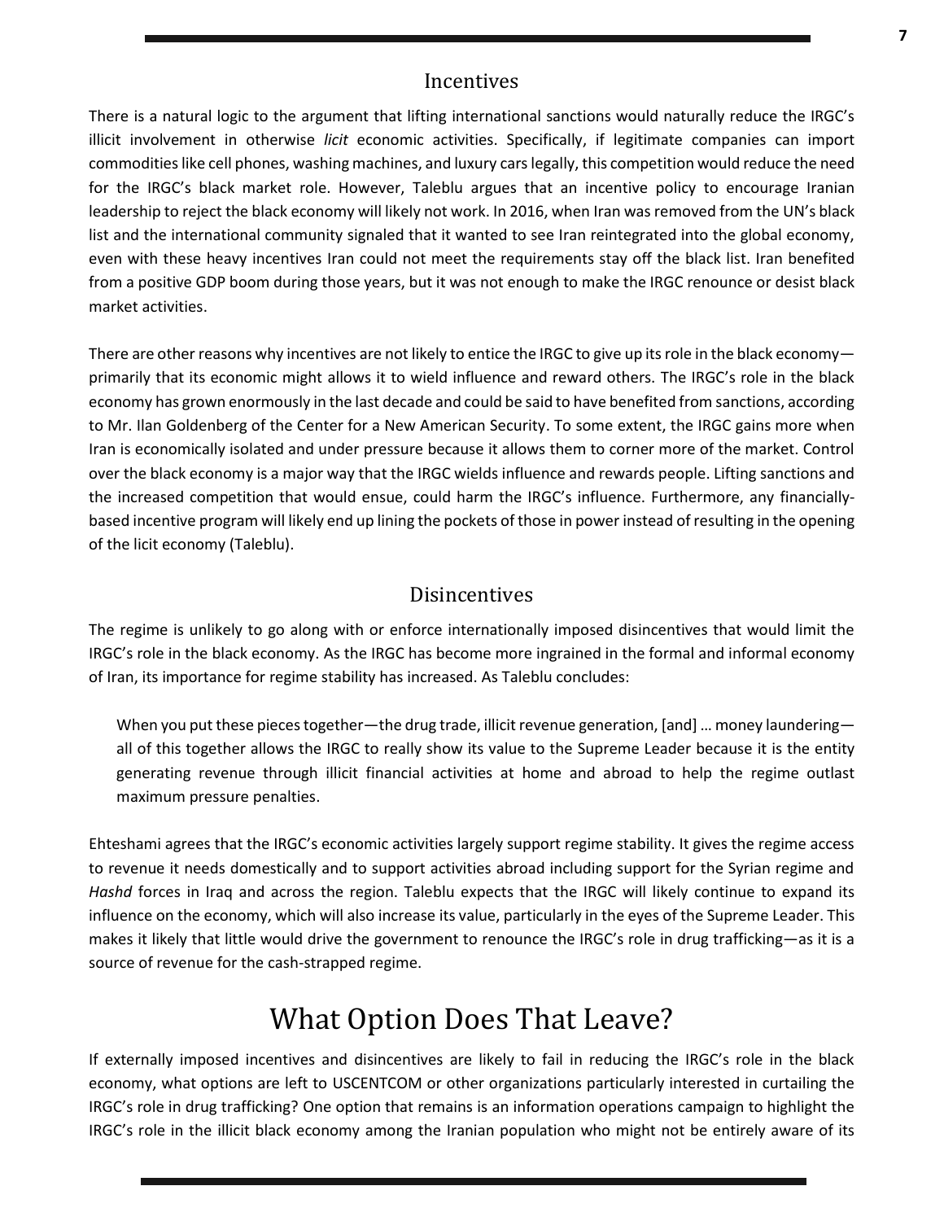#### **Incentives**

There is a natural logic to the argument that lifting international sanctions would naturally reduce the IRGC's illicit involvement in otherwise *licit* economic activities. Specifically, if legitimate companies can import commodities like cell phones, washing machines, and luxury cars legally, this competition would reduce the need for the IRGC's black market role. However, Taleblu argues that an incentive policy to encourage Iranian leadership to reject the black economy will likely not work. In 2016, when Iran was removed from the UN's black list and the international community signaled that it wanted to see Iran reintegrated into the global economy, even with these heavy incentives Iran could not meet the requirements stay off the black list. Iran benefited from a positive GDP boom during those years, but it was not enough to make the IRGC renounce or desist black market activities.

There are other reasons why incentives are not likely to entice the IRGC to give up its role in the black economyprimarily that its economic might allows it to wield influence and reward others. The IRGC's role in the black economy has grown enormously in the last decade and could be said to have benefited from sanctions, according to Mr. Ilan Goldenberg of the Center for a New American Security. To some extent, the IRGC gains more when Iran is economically isolated and under pressure because it allows them to corner more of the market. Control over the black economy is a major way that the IRGC wields influence and rewards people. Lifting sanctions and the increased competition that would ensue, could harm the IRGC's influence. Furthermore, any financiallybased incentive program will likely end up lining the pockets of those in power instead of resulting in the opening of the licit economy (Taleblu).

#### Disincentives

The regime is unlikely to go along with or enforce internationally imposed disincentives that would limit the IRGC's role in the black economy. As the IRGC has become more ingrained in the formal and informal economy of Iran, its importance for regime stability has increased. As Taleblu concludes:

When you put these pieces together—the drug trade, illicit revenue generation, [and] ... money laundering all of this together allows the IRGC to really show its value to the Supreme Leader because it is the entity generating revenue through illicit financial activities at home and abroad to help the regime outlast maximum pressure penalties.

Ehteshami agrees that the IRGC's economic activities largely support regime stability. It gives the regime access to revenue it needs domestically and to support activities abroad including support for the Syrian regime and *Hashd* forces in Iraq and across the region. Taleblu expects that the IRGC will likely continue to expand its influence on the economy, which will also increase its value, particularly in the eyes of the Supreme Leader. This makes it likely that little would drive the government to renounce the IRGC's role in drug trafficking—as it is a source of revenue for the cash-strapped regime.

### What Option Does That Leave?

If externally imposed incentives and disincentives are likely to fail in reducing the IRGC's role in the black economy, what options are left to USCENTCOM or other organizations particularly interested in curtailing the IRGC's role in drug trafficking? One option that remains is an information operations campaign to highlight the IRGC's role in the illicit black economy among the Iranian population who might not be entirely aware of its